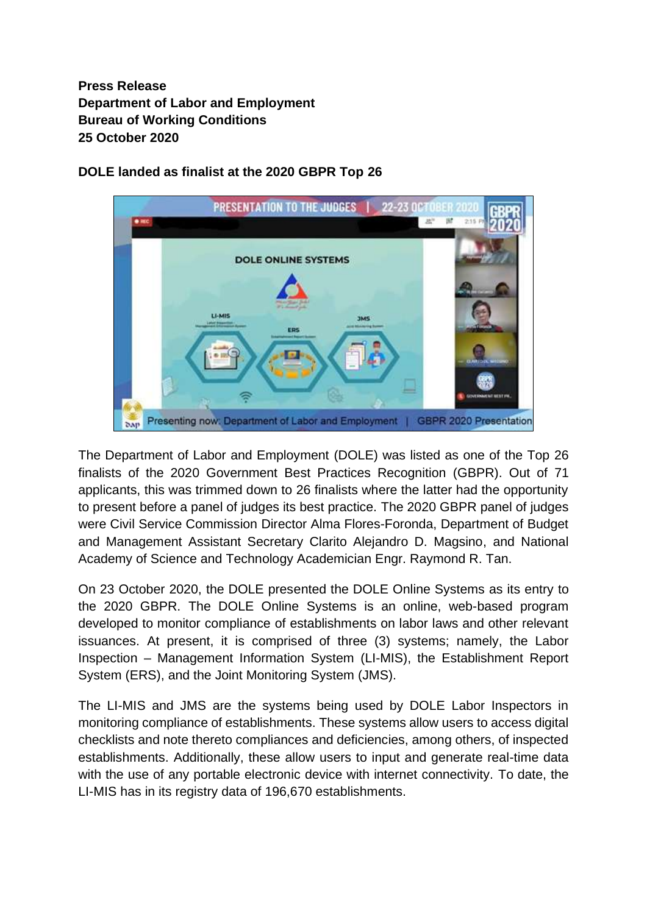**Press Release Department of Labor and Employment Bureau of Working Conditions 25 October 2020**



**DOLE landed as finalist at the 2020 GBPR Top 26**

The Department of Labor and Employment (DOLE) was listed as one of the Top 26 finalists of the 2020 Government Best Practices Recognition (GBPR). Out of 71 applicants, this was trimmed down to 26 finalists where the latter had the opportunity to present before a panel of judges its best practice. The 2020 GBPR panel of judges were Civil Service Commission Director Alma Flores-Foronda, Department of Budget and Management Assistant Secretary Clarito Alejandro D. Magsino, and National Academy of Science and Technology Academician Engr. Raymond R. Tan.

On 23 October 2020, the DOLE presented the DOLE Online Systems as its entry to the 2020 GBPR. The DOLE Online Systems is an online, web-based program developed to monitor compliance of establishments on labor laws and other relevant issuances. At present, it is comprised of three (3) systems; namely, the Labor Inspection – Management Information System (LI-MIS), the Establishment Report System (ERS), and the Joint Monitoring System (JMS).

The LI-MIS and JMS are the systems being used by DOLE Labor Inspectors in monitoring compliance of establishments. These systems allow users to access digital checklists and note thereto compliances and deficiencies, among others, of inspected establishments. Additionally, these allow users to input and generate real-time data with the use of any portable electronic device with internet connectivity. To date, the LI-MIS has in its registry data of 196,670 establishments.